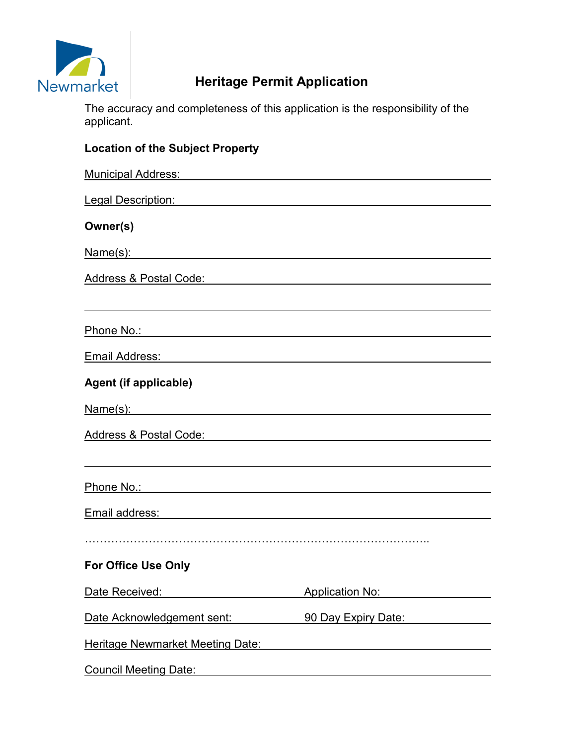

# **Newmarket Heritage Permit Application**

The accuracy and completeness of this application is the responsibility of the applicant.

| <b>Location of the Subject Property</b>                                                                                                                                                                                              |                                                                           |
|--------------------------------------------------------------------------------------------------------------------------------------------------------------------------------------------------------------------------------------|---------------------------------------------------------------------------|
| <u>Municipal Address: William School School School School School School School School School School School School School School School School School School School School School School School School School School School Schoo</u> |                                                                           |
| <u>Legal Description: with the control of the control of the control of the control of the control of the control of the control of the control of the control of the control of the control of the control of the control of th</u> |                                                                           |
| Owner(s)                                                                                                                                                                                                                             |                                                                           |
| Name(s):                                                                                                                                                                                                                             |                                                                           |
| Address & Postal Code: content and a series of the Address & Postal Code:                                                                                                                                                            |                                                                           |
|                                                                                                                                                                                                                                      |                                                                           |
| Phone No.: And the Contract of the Contract of the Contract of the Contract of the Contract of the Contract of the Contract of the Contract of the Contract of the Contract of the Contract of the Contract of the Contract of       |                                                                           |
| Email Address: William March 1999 - March 1999 - March 1999 - March 1999 - March 1999 - March 1999 - March 19                                                                                                                        |                                                                           |
| Agent (if applicable)                                                                                                                                                                                                                |                                                                           |
| Name(s):                                                                                                                                                                                                                             |                                                                           |
| Address & Postal Code: Address & Postal Code:                                                                                                                                                                                        |                                                                           |
|                                                                                                                                                                                                                                      |                                                                           |
|                                                                                                                                                                                                                                      |                                                                           |
|                                                                                                                                                                                                                                      |                                                                           |
|                                                                                                                                                                                                                                      |                                                                           |
| <b>For Office Use Only</b>                                                                                                                                                                                                           |                                                                           |
| Date Received:                                                                                                                                                                                                                       | <b>Application No:</b>                                                    |
| Date Acknowledgement sent:                                                                                                                                                                                                           | 90 Day Expiry Date:                                                       |
| <b>Heritage Newmarket Meeting Date:</b>                                                                                                                                                                                              |                                                                           |
| <b>Council Meeting Date:</b>                                                                                                                                                                                                         | <u> 1980 - Andrea Station Barbara, politik eta politikaria (h. 1980).</u> |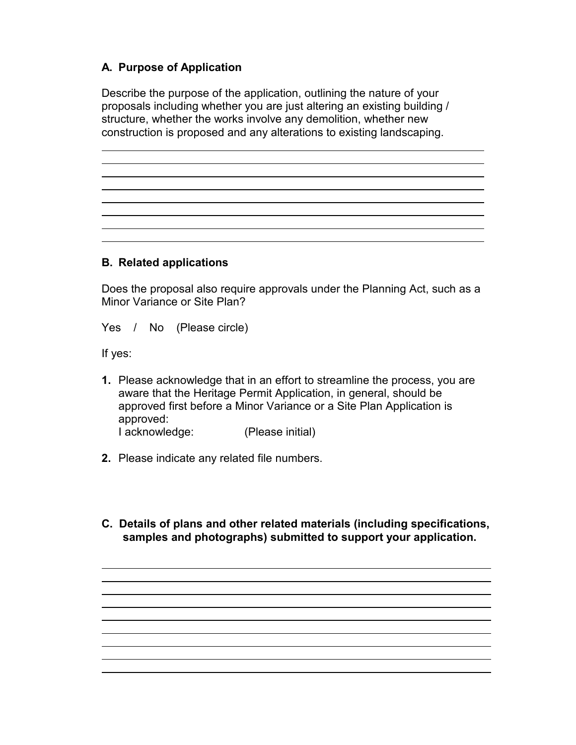# **A. Purpose of Application**

Describe the purpose of the application, outlining the nature of your proposals including whether you are just altering an existing building / structure, whether the works involve any demolition, whether new construction is proposed and any alterations to existing landscaping.

#### **B. Related applications**

Does the proposal also require approvals under the Planning Act, such as a Minor Variance or Site Plan?

Yes / No (Please circle)

If yes:

 $\overline{a}$  $\overline{a}$ 

 $\overline{a}$ 

 $\overline{a}$ 

 $\overline{a}$ 

 $\overline{a}$  $\overline{a}$  $\overline{a}$  $\overline{a}$  $\overline{a}$  $\overline{a}$  $\overline{a}$  $\overline{a}$ 

- **1.** Please acknowledge that in an effort to streamline the process, you are aware that the Heritage Permit Application, in general, should be approved first before a Minor Variance or a Site Plan Application is approved: I acknowledge: (Please initial)
- **2.** Please indicate any related file numbers.
- **C. Details of plans and other related materials (including specifications, samples and photographs) submitted to support your application.**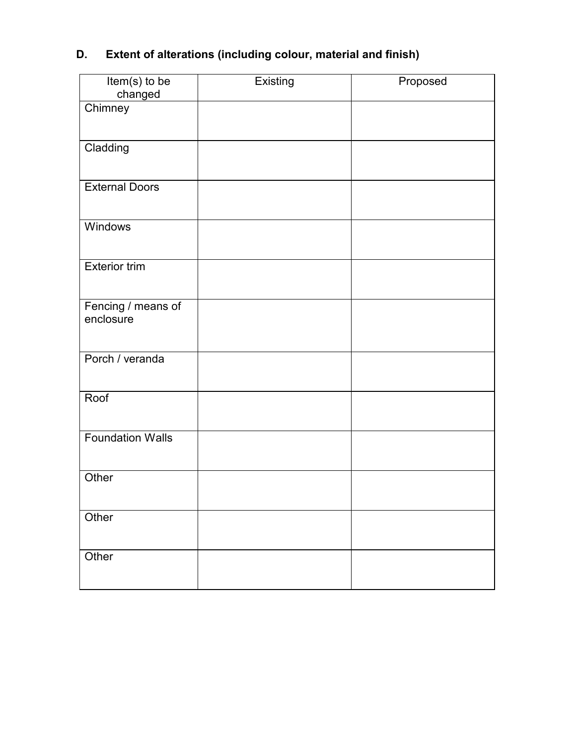# **D. Extent of alterations (including colour, material and finish)**

| Item(s) to be<br>changed        | Existing | Proposed |
|---------------------------------|----------|----------|
| Chimney                         |          |          |
| Cladding                        |          |          |
| <b>External Doors</b>           |          |          |
| Windows                         |          |          |
| <b>Exterior trim</b>            |          |          |
| Fencing / means of<br>enclosure |          |          |
| Porch / veranda                 |          |          |
| Roof                            |          |          |
| <b>Foundation Walls</b>         |          |          |
| Other                           |          |          |
| Other                           |          |          |
| Other                           |          |          |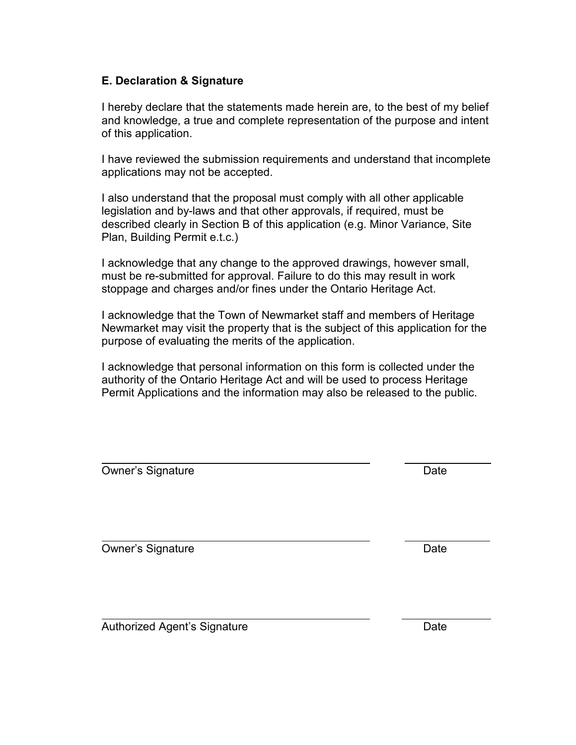#### **E. Declaration & Signature**

I hereby declare that the statements made herein are, to the best of my belief and knowledge, a true and complete representation of the purpose and intent of this application.

I have reviewed the submission requirements and understand that incomplete applications may not be accepted.

I also understand that the proposal must comply with all other applicable legislation and by-laws and that other approvals, if required, must be described clearly in Section B of this application (e.g. Minor Variance, Site Plan, Building Permit e.t.c.)

I acknowledge that any change to the approved drawings, however small, must be re-submitted for approval. Failure to do this may result in work stoppage and charges and/or fines under the Ontario Heritage Act.

I acknowledge that the Town of Newmarket staff and members of Heritage Newmarket may visit the property that is the subject of this application for the purpose of evaluating the merits of the application.

I acknowledge that personal information on this form is collected under the authority of the Ontario Heritage Act and will be used to process Heritage Permit Applications and the information may also be released to the public.

| <b>Owner's Signature</b>     | Date |
|------------------------------|------|
| <b>Owner's Signature</b>     | Date |
| Authorized Agent's Signature | Date |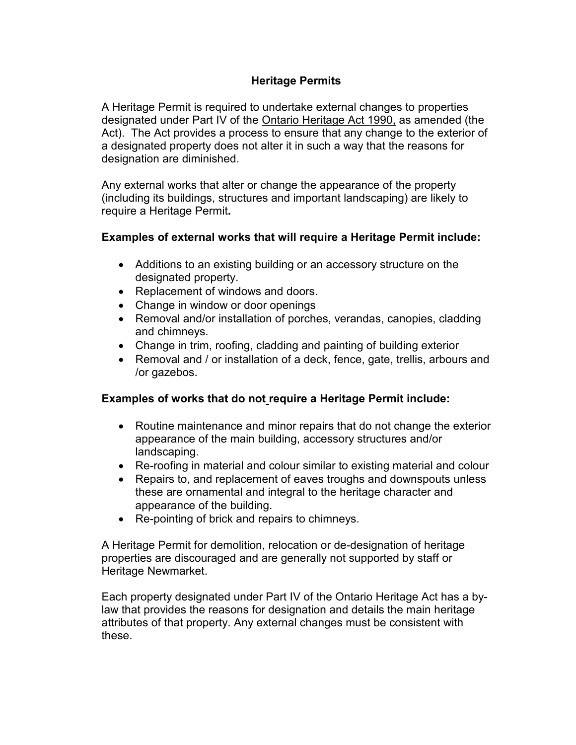# **Heritage Permits**

A Heritage Permit is required to undertake external changes to properties designated under Part IV of the Ontario Heritage Act 1990, as amended (the Act). The Act provides a process to ensure that any change to the exterior of a designated property does not alter it in such a way that the reasons for designation are diminished.

Any external works that alter or change the appearance of the property (including its buildings, structures and important landscaping) are likely to require a Heritage Permit**.** 

#### **Examples of external works that will require a Heritage Permit include:**

- Additions to an existing building or an accessory structure on the designated property.
- Replacement of windows and doors.
- Change in window or door openings
- Removal and/or installation of porches, verandas, canopies, cladding and chimneys.
- Change in trim, roofing, cladding and painting of building exterior
- Removal and / or installation of a deck, fence, gate, trellis, arbours and /or gazebos.

## **Examples of works that do not require a Heritage Permit include:**

- Routine maintenance and minor repairs that do not change the exterior appearance of the main building, accessory structures and/or landscaping.
- Re-roofing in material and colour similar to existing material and colour
- Repairs to, and replacement of eaves troughs and downspouts unless these are ornamental and integral to the heritage character and appearance of the building.
- Re-pointing of brick and repairs to chimneys.

A Heritage Permit for demolition, relocation or de-designation of heritage properties are discouraged and are generally not supported by staff or Heritage Newmarket.

Each property designated under Part IV of the Ontario Heritage Act has a bylaw that provides the reasons for designation and details the main heritage attributes of that property. Any external changes must be consistent with these.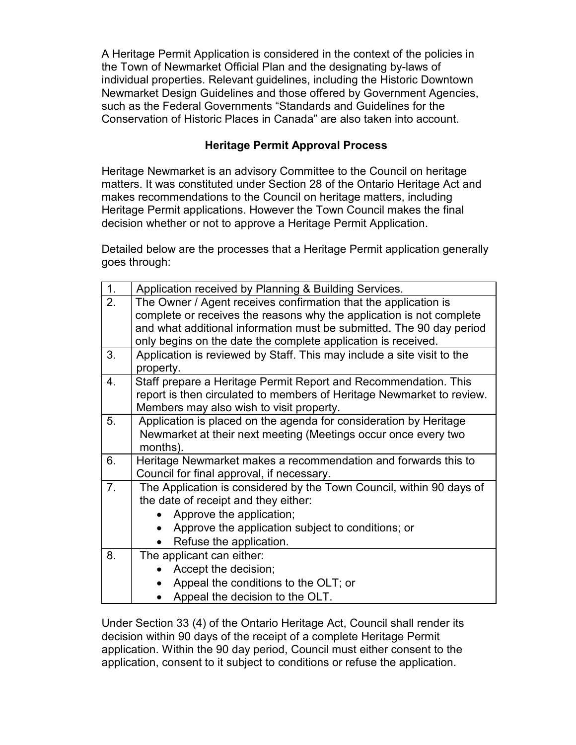A Heritage Permit Application is considered in the context of the policies in the Town of Newmarket Official Plan and the designating by-laws of individual properties. Relevant guidelines, including the Historic Downtown Newmarket Design Guidelines and those offered by Government Agencies, such as the Federal Governments "Standards and Guidelines for the Conservation of Historic Places in Canada" are also taken into account.

## **Heritage Permit Approval Process**

Heritage Newmarket is an advisory Committee to the Council on heritage matters. It was constituted under Section 28 of the Ontario Heritage Act and makes recommendations to the Council on heritage matters, including Heritage Permit applications. However the Town Council makes the final decision whether or not to approve a Heritage Permit Application.

Detailed below are the processes that a Heritage Permit application generally goes through:

| 1. | Application received by Planning & Building Services.                  |  |  |
|----|------------------------------------------------------------------------|--|--|
| 2. | The Owner / Agent receives confirmation that the application is        |  |  |
|    | complete or receives the reasons why the application is not complete   |  |  |
|    | and what additional information must be submitted. The 90 day period   |  |  |
|    | only begins on the date the complete application is received.          |  |  |
| 3. | Application is reviewed by Staff. This may include a site visit to the |  |  |
|    | property.                                                              |  |  |
| 4. | Staff prepare a Heritage Permit Report and Recommendation. This        |  |  |
|    | report is then circulated to members of Heritage Newmarket to review.  |  |  |
|    | Members may also wish to visit property.                               |  |  |
| 5. | Application is placed on the agenda for consideration by Heritage      |  |  |
|    | Newmarket at their next meeting (Meetings occur once every two         |  |  |
|    | months).                                                               |  |  |
| 6. | Heritage Newmarket makes a recommendation and forwards this to         |  |  |
|    | Council for final approval, if necessary.                              |  |  |
| 7. | The Application is considered by the Town Council, within 90 days of   |  |  |
|    | the date of receipt and they either:                                   |  |  |
|    | Approve the application;                                               |  |  |
|    | Approve the application subject to conditions; or                      |  |  |
|    | Refuse the application.                                                |  |  |
| 8. | The applicant can either:                                              |  |  |
|    | Accept the decision;                                                   |  |  |
|    | Appeal the conditions to the OLT; or                                   |  |  |
|    | Appeal the decision to the OLT.                                        |  |  |

Under Section 33 (4) of the Ontario Heritage Act, Council shall render its decision within 90 days of the receipt of a complete Heritage Permit application. Within the 90 day period, Council must either consent to the application, consent to it subject to conditions or refuse the application.